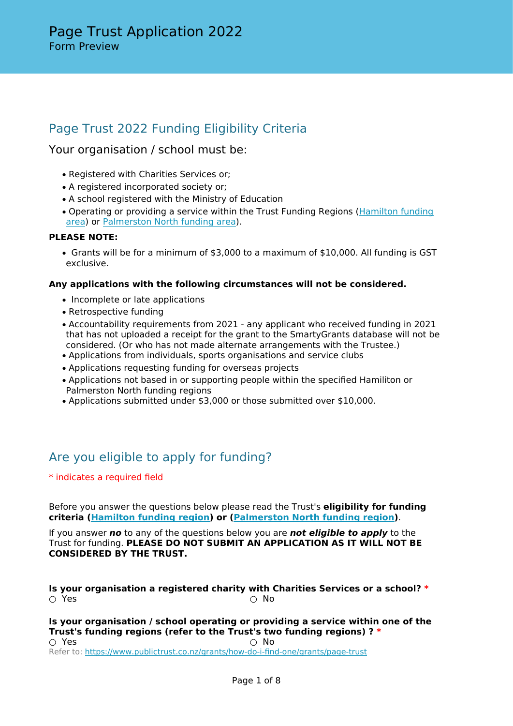# Page Trust 2022 Funding Eligibility Criteria

# Your organisation / school must be:

- Registered with Charities Services or;
- A registered incorporated society or;
- A school registered with the Ministry of Education
- Operating or providing a service within the Trust Funding Regions ([Hamilton funding](https://api.publictrust.co.nz/storage/files/grantstrusts/HAMILTON-Map-CLI00003173_67.pdf?_ga=2.132735566.1589649378.1652127630-429941514.1629330124&_gac=1.45879056.1650520378.EAIaIQobChMIqfvBxLuk9wIVJJlmAh3DLARGEAAYASAAEgJ7J_D_BwE) [area](https://api.publictrust.co.nz/storage/files/grantstrusts/HAMILTON-Map-CLI00003173_67.pdf?_ga=2.132735566.1589649378.1652127630-429941514.1629330124&_gac=1.45879056.1650520378.EAIaIQobChMIqfvBxLuk9wIVJJlmAh3DLARGEAAYASAAEgJ7J_D_BwE)) or [Palmerston North funding area\)](https://api.publictrust.co.nz/storage/files/grantstrusts/P-NORTH-Map-CLI00003173_66.pdf?_ga=2.94569820.1589649378.1652127630-429941514.1629330124&_gac=1.213183008.1650520378.EAIaIQobChMIqfvBxLuk9wIVJJlmAh3DLARGEAAYASAAEgJ7J_D_BwE).

## **PLEASE NOTE:**

• Grants will be for a minimum of \$3,000 to a maximum of \$10,000. All funding is GST exclusive.

## **Any applications with the following circumstances will not be considered.**

- Incomplete or late applications
- Retrospective funding
- Accountability requirements from 2021 any applicant who received funding in 2021 that has not uploaded a receipt for the grant to the SmartyGrants database will not be considered. (Or who has not made alternate arrangements with the Trustee.)
- Applications from individuals, sports organisations and service clubs
- Applications requesting funding for overseas projects
- Applications not based in or supporting people within the specified Hamiliton or Palmerston North funding regions
- Applications submitted under \$3,000 or those submitted over \$10,000.

# Are you eligible to apply for funding?

\* indicates a required field

Before you answer the questions below please read the Trust's **eligibility for funding criteria ([Hamilton funding region](https://api.publictrust.co.nz/storage/files/grantstrusts/HAMILTON-Map-CLI00003173_67.pdf?_ga=2.132735566.1589649378.1652127630-429941514.1629330124&_gac=1.45879056.1650520378.EAIaIQobChMIqfvBxLuk9wIVJJlmAh3DLARGEAAYASAAEgJ7J_D_BwE)) or [\(Palmerston North funding region\)](https://api.publictrust.co.nz/storage/files/grantstrusts/P-NORTH-Map-CLI00003173_66.pdf?_ga=2.94569820.1589649378.1652127630-429941514.1629330124&_gac=1.213183008.1650520378.EAIaIQobChMIqfvBxLuk9wIVJJlmAh3DLARGEAAYASAAEgJ7J_D_BwE)**.

If you answer *no* to any of the questions below you are *not eligible to apply* to the Trust for funding. **PLEASE DO NOT SUBMIT AN APPLICATION AS IT WILL NOT BE CONSIDERED BY THE TRUST.**

**Is your organisation a registered charity with Charities Services or a school? \*** ○ Yes ○ No

**Is your organisation / school operating or providing a service within one of the Trust's funding regions (refer to the Trust's two funding regions) ? \***  $\bigcirc$  Yes  $\bigcirc$  No Refer to: <https://www.publictrust.co.nz/grants/how-do-i-find-one/grants/page-trust>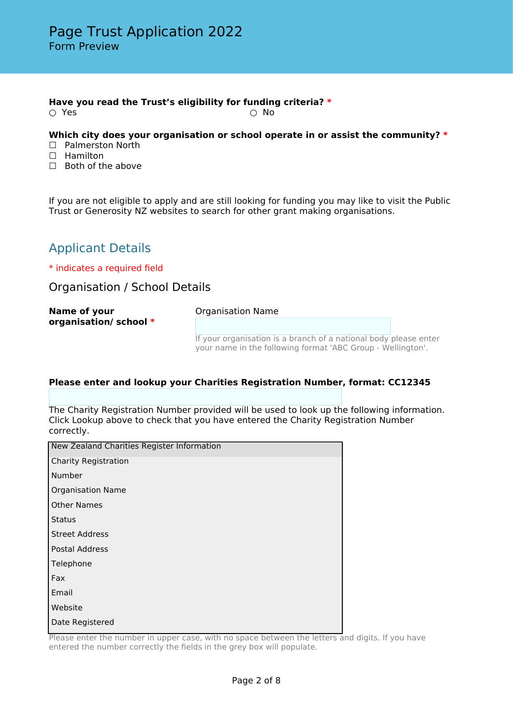### **Have you read the Trust's eligibility for funding criteria? \***

 $\bigcirc$  Yes  $\bigcirc$  No

### **Which city does your organisation or school operate in or assist the community? \***

- □ Palmerston North
- □ Hamilton
- □ Both of the above

If you are not eligible to apply and are still looking for funding you may like to visit the Public Trust or Generosity NZ websites to search for other grant making organisations.

# Applicant Details

\* indicates a required field

Organisation / School Details

| Name of your<br>organisation/school * | <b>Organisation Name</b>                                                                                                        |  |  |
|---------------------------------------|---------------------------------------------------------------------------------------------------------------------------------|--|--|
|                                       |                                                                                                                                 |  |  |
|                                       | If your organisation is a branch of a national body please enter<br>your name in the following format 'ABC Group - Wellington'. |  |  |

## **Please enter and lookup your Charities Registration Number, format: CC12345**

The Charity Registration Number provided will be used to look up the following information. Click Lookup above to check that you have entered the Charity Registration Number correctly.

| New Zealand Charities Register Information |
|--------------------------------------------|
| <b>Charity Registration</b>                |
| Number                                     |
| <b>Organisation Name</b>                   |
| <b>Other Names</b>                         |
| <b>Status</b>                              |
| <b>Street Address</b>                      |
| <b>Postal Address</b>                      |
| Telephone                                  |
| Fax                                        |
| Email                                      |
| Website                                    |
| Date Registered                            |

Please enter the number in upper case, with no space between the letters and digits. If you have entered the number correctly the fields in the grey box will populate.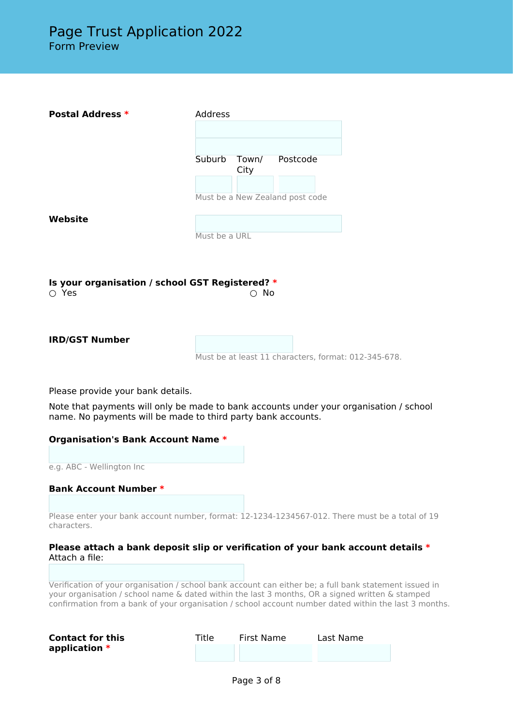| <b>Postal Address *</b>                                        | Address       |               |                                                      |  |
|----------------------------------------------------------------|---------------|---------------|------------------------------------------------------|--|
|                                                                | Suburb        | Town/<br>City | Postcode<br>Must be a New Zealand post code          |  |
| <b>Website</b>                                                 | Must be a URL |               |                                                      |  |
| Is your organisation / school GST Registered? *<br>$\circ$ Yes |               | $\circ$ No    |                                                      |  |
| <b>IRD/GST Number</b>                                          |               |               | Must be at least 11 characters, format: 012-345-678. |  |

Please provide your bank details.

Note that payments will only be made to bank accounts under your organisation / school name. No payments will be made to third party bank accounts.

| <b>Organisation's Bank Account Name *</b> |  |
|-------------------------------------------|--|
|-------------------------------------------|--|

e.g. ABC - Wellington Inc

### **Bank Account Number \***

Please enter your bank account number, format: 12-1234-1234567-012. There must be a total of 19 characters.

#### **Please attach a bank deposit slip or verification of your bank account details \*** Attach a file:

Verification of your organisation / school bank account can either be; a full bank statement issued in your organisation / school name & dated within the last 3 months, OR a signed written & stamped confirmation from a bank of your organisation / school account number dated within the last 3 months.

| <b>Contact for this</b> | Title | First Name | Last Name |
|-------------------------|-------|------------|-----------|
| application $*$         |       |            |           |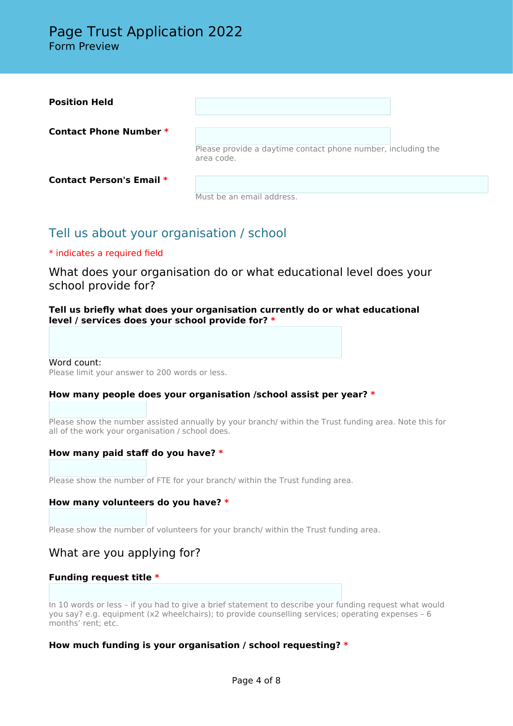| <b>Position Held</b>            |                                                                            |  |
|---------------------------------|----------------------------------------------------------------------------|--|
| Contact Phone Number *          | Please provide a daytime contact phone number, including the<br>area code. |  |
| <b>Contact Person's Email *</b> | Must be an email address.                                                  |  |

# Tell us about your organisation / school

# \* indicates a required field

What does your organisation do or what educational level does your school provide for?

## **Tell us briefly what does your organisation currently do or what educational level / services does your school provide for? \***

#### Word count:

Please limit your answer to 200 words or less.

## **How many people does your organisation /school assist per year? \***

Please show the number assisted annually by your branch/ within the Trust funding area. Note this for all of the work your organisation / school does.

## **How many paid staff do you have? \***

Please show the number of FTE for your branch/ within the Trust funding area.

### **How many volunteers do you have? \***

Please show the number of volunteers for your branch/ within the Trust funding area.

# What are you applying for?

### **Funding request title \***

In 10 words or less – if you had to give a brief statement to describe your funding request what would you say? e.g. equipment (x2 wheelchairs); to provide counselling services; operating expenses – 6 months' rent; etc.

## **How much funding is your organisation / school requesting? \***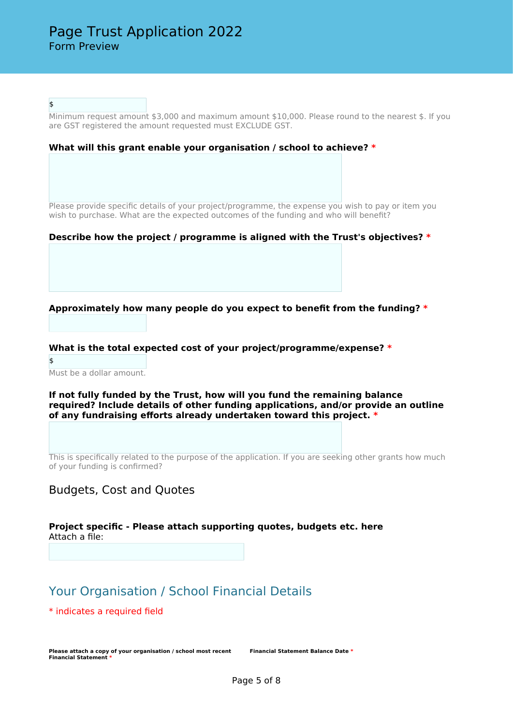\$

Minimum request amount \$3,000 and maximum amount \$10,000. Please round to the nearest \$. If you are GST registered the amount requested must EXCLUDE GST.

#### **What will this grant enable your organisation / school to achieve? \***

Please provide specific details of your project/programme, the expense you wish to pay or item you wish to purchase. What are the expected outcomes of the funding and who will benefit?

#### **Describe how the project / programme is aligned with the Trust's objectives? \***

**Approximately how many people do you expect to benefit from the funding? \***

**What is the total expected cost of your project/programme/expense? \***

\$ Must be a dollar amount.

**If not fully funded by the Trust, how will you fund the remaining balance required? Include details of other funding applications, and/or provide an outline of any fundraising efforts already undertaken toward this project. \***

This is specifically related to the purpose of the application. If you are seeking other grants how much of your funding is confirmed?

## Budgets, Cost and Quotes

**Project specific - Please attach supporting quotes, budgets etc. here** Attach a file:

# Your Organisation / School Financial Details

\* indicates a required field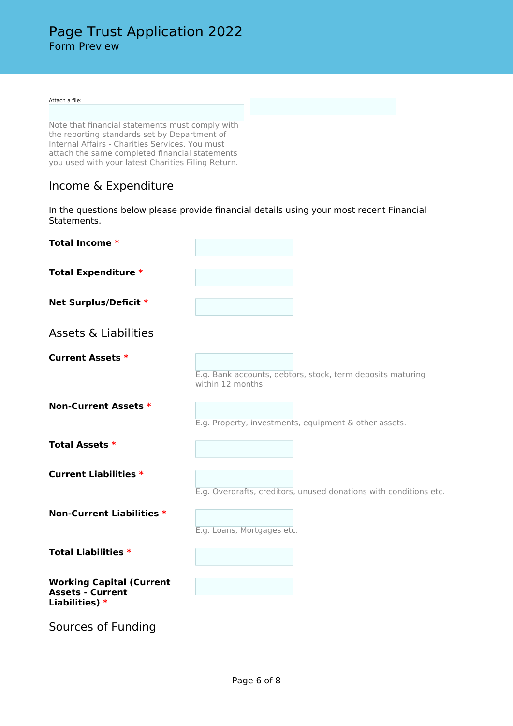#### Attach a file:

Note that financial statements must comply with the reporting standards set by Department of Internal Affairs - Charities Services. You must attach the same completed financial statements you used with your latest Charities Filing Return.

# Income & Expenditure

In the questions below please provide financial details using your most recent Financial Statements.

| Total Income *                            |                                                                                 |
|-------------------------------------------|---------------------------------------------------------------------------------|
| <b>Total Expenditure *</b>                |                                                                                 |
| Net Surplus/Deficit *                     |                                                                                 |
| <b>Assets &amp; Liabilities</b>           |                                                                                 |
| <b>Current Assets *</b>                   |                                                                                 |
|                                           | E.g. Bank accounts, debtors, stock, term deposits maturing<br>within 12 months. |
| <b>Non-Current Assets *</b>               |                                                                                 |
|                                           | E.g. Property, investments, equipment & other assets.                           |
| <b>Total Assets *</b>                     |                                                                                 |
| <b>Current Liabilities *</b>              |                                                                                 |
|                                           | E.g. Overdrafts, creditors, unused donations with conditions etc.               |
| <b>Non-Current Liabilities *</b>          |                                                                                 |
|                                           | E.g. Loans, Mortgages etc.                                                      |
| <b>Total Liabilities *</b>                |                                                                                 |
| <b>Working Capital (Current</b>           |                                                                                 |
| <b>Assets - Current</b><br>Liabilities) * |                                                                                 |
| Sources of Funding                        |                                                                                 |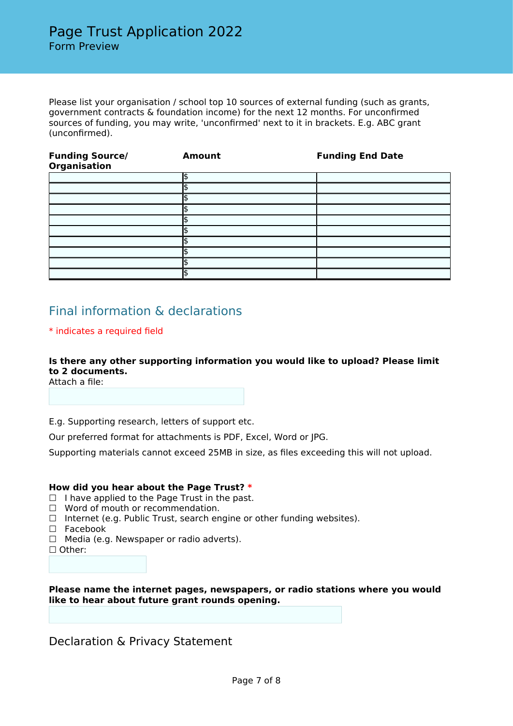Please list your organisation / school top 10 sources of external funding (such as grants, government contracts & foundation income) for the next 12 months. For unconfirmed sources of funding, you may write, 'unconfirmed' next to it in brackets. E.g. ABC grant (unconfirmed).

| <b>Funding Source/</b><br><b>Organisation</b> | <b>Amount</b> | <b>Funding End Date</b> |
|-----------------------------------------------|---------------|-------------------------|
|                                               |               |                         |
|                                               |               |                         |
|                                               |               |                         |
|                                               |               |                         |
|                                               |               |                         |
|                                               |               |                         |
|                                               |               |                         |
|                                               |               |                         |
|                                               |               |                         |
|                                               |               |                         |

# Final information & declarations

## \* indicates a required field

## **Is there any other supporting information you would like to upload? Please limit to 2 documents.**

Attach a file:

E.g. Supporting research, letters of support etc.

Our preferred format for attachments is PDF, Excel, Word or JPG.

Supporting materials cannot exceed 25MB in size, as files exceeding this will not upload.

### **How did you hear about the Page Trust? \***

- $\Box$  I have applied to the Page Trust in the past.
- ☐ Word of mouth or recommendation.
- ☐ Internet (e.g. Public Trust, search engine or other funding websites).
- □ Facebook
- ☐ Media (e.g. Newspaper or radio adverts).
- ☐ Other:

**Please name the internet pages, newspapers, or radio stations where you would like to hear about future grant rounds opening.**

Declaration & Privacy Statement